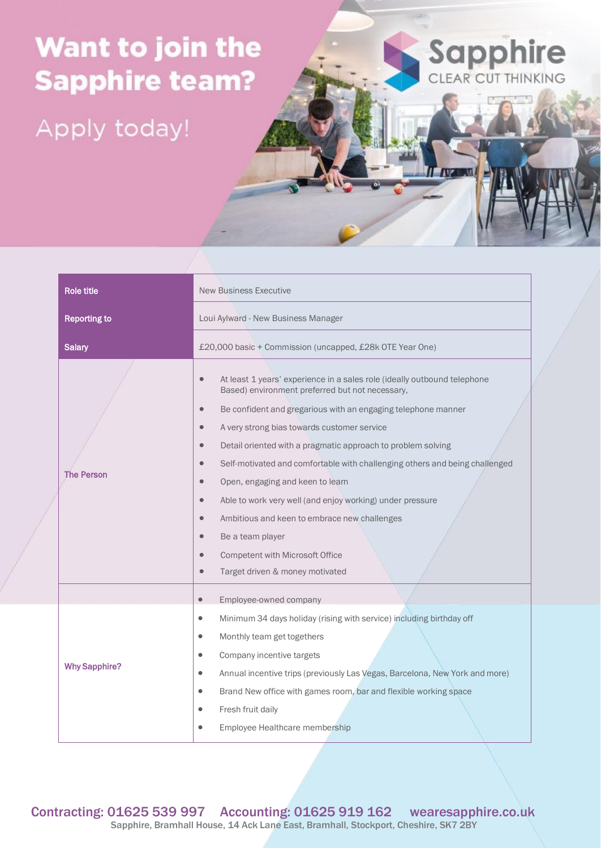## Want to join the **Sapphire team?**

Apply today!



IT **AVENUE** 

| Role title           | <b>New Business Executive</b>                                                                                                                                                                                                                                                                                                                                                                                                                                                                                                                                                                                                                                                                                                                                                        |
|----------------------|--------------------------------------------------------------------------------------------------------------------------------------------------------------------------------------------------------------------------------------------------------------------------------------------------------------------------------------------------------------------------------------------------------------------------------------------------------------------------------------------------------------------------------------------------------------------------------------------------------------------------------------------------------------------------------------------------------------------------------------------------------------------------------------|
| <b>Reporting to</b>  | Loui Aylward - New Business Manager                                                                                                                                                                                                                                                                                                                                                                                                                                                                                                                                                                                                                                                                                                                                                  |
| <b>Salary</b>        | £20,000 basic + Commission (uncapped, £28k OTE Year One)                                                                                                                                                                                                                                                                                                                                                                                                                                                                                                                                                                                                                                                                                                                             |
| <b>The Person</b>    | At least 1 years' experience in a sales role (ideally outbound telephone<br>$\bullet$<br>Based) environment preferred but not necessary,<br>Be confident and gregarious with an engaging telephone manner<br>$\bullet$<br>A very strong bias towards customer service<br>$\bullet$<br>Detail oriented with a pragmatic approach to problem solving<br>$\bullet$<br>Self-motivated and comfortable with challenging others and being challenged<br>$\bullet$<br>Open, engaging and keen to learn<br>$\bullet$<br>Able to work very well (and enjoy working) under pressure<br>$\bullet$<br>Ambitious and keen to embrace new challenges<br>$\bullet$<br>Be a team player<br>$\bullet$<br>Competent with Microsoft Office<br>$\bullet$<br>Target driven & money motivated<br>$\bullet$ |
|                      | Employee-owned company<br>$\bullet$                                                                                                                                                                                                                                                                                                                                                                                                                                                                                                                                                                                                                                                                                                                                                  |
| <b>Why Sapphire?</b> | Minimum 34 days holiday (rising with service) including birthday off<br>$\bullet$<br>Monthly team get togethers<br>$\bullet$<br>Company incentive targets<br>$\bullet$<br>Annual incentive trips (previously Las Vegas, Barcelona, New York and more)<br>$\bullet$<br>Brand New office with games room, bar and flexible working space<br>$\bullet$<br>Fresh fruit daily<br>Employee Healthcare membership<br>$\bullet$                                                                                                                                                                                                                                                                                                                                                              |

Contracting: 01625 539 997 Accounting: 01625 919 162 wearesapphire.co.uk Sapphire, Bramhall House, 14 Ack Lane East, Bramhall, Stockport, Cheshire, SK7 2BY